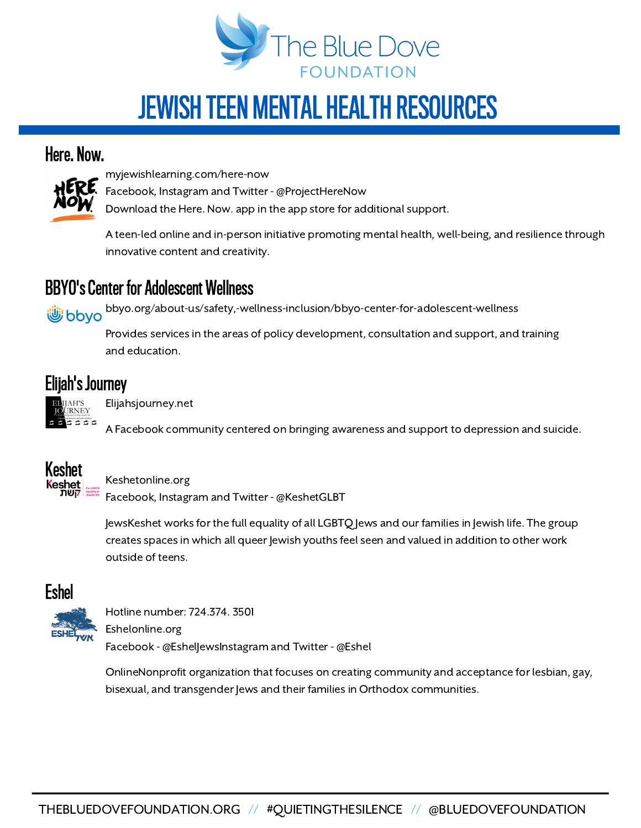

# JEWISH TEEN MENTAL HEALTH RESOURCES

#### Here. Now.



myjewishlearning.com/here-now

Facebook, Instagram and Twitter - @ProjectHereNow

Download the Here. Now. app in the app store for additional support.

A teen-led online and in-person initiative promoting mental health, well-being, and resilience through innovative content and creativity.

### **BBYO's Center for Adolescent Wellness**

bbyo.org/about-us/safety,-wellness-inclusion/bbyo-center-for-adolescent-wellness bbyo لِللَّهُ

> Provides services in the areas of policy development, consultation and support, and training and education.

## Elijah's Journey



Elijahsjourney.net

A Facebook community centered on bringing awareness and support to depression and suicide.



Keshetonline.org

Facebook, Instagram and Twitter - @KeshetGLBT

JewsKeshet works for the full equality of all LGBTQ Jews and our families in Jewish life. The group creates spaces in which all queer Jewish youths feel seen and valued in addition to other work outside of teens.



Hotline number: 724.374. 3501 Eshelonline.org Facebook - @Eshel|ewsInstagram and Twitter - @Eshel

OnlineNonprofit organization that focuses on creating community and acceptance for lesbian, gay, bisexual, and transgender Jews and their families in Orthodox communities.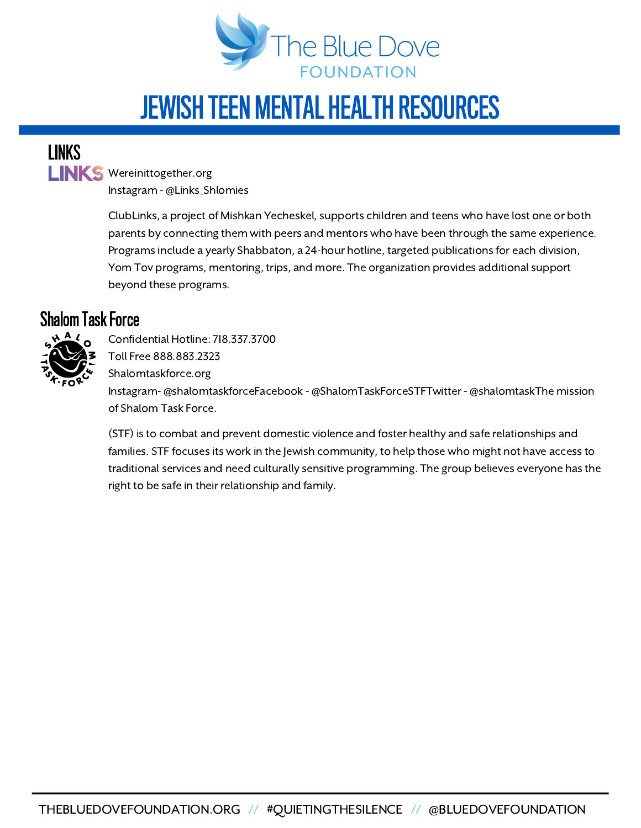

# JEWISH TEEN MENTAL HEALTH RESOURCES

LINKS

LINKS Wereinittogether.org Instagram -@Links\_Shlomies

> ClubLinks, a project of Mishkan Yecheskel, supports children and teens who have lost one or both parents by connecting them with peers and mentors who have been through the same experience. Programs include a yearly Shabbaton, a 24-hour hotline, targeted publications for each division, Yom Tov programs, mentoring, trips, and more. The organization provides additional support beyond these programs.

### Shalom Task Force



Confidential Hotline: 718.337.3700 Toll Free 888.883.2323 Shalomtaskforce.org Instagram- @shalomtaskforceFacebook - @ShalomTaskForceSTFTwitter - @shalomtaskThe mission of Shalom Task Force.

(STF) is to combat and prevent domestic violence and foster healthy and safe relationships and families. STF focuses its work in the Jewish community, to help those who might not have access to traditional services and need culturally sensitive programming. The group believes everyone has the right to be safe in their relationship and family.